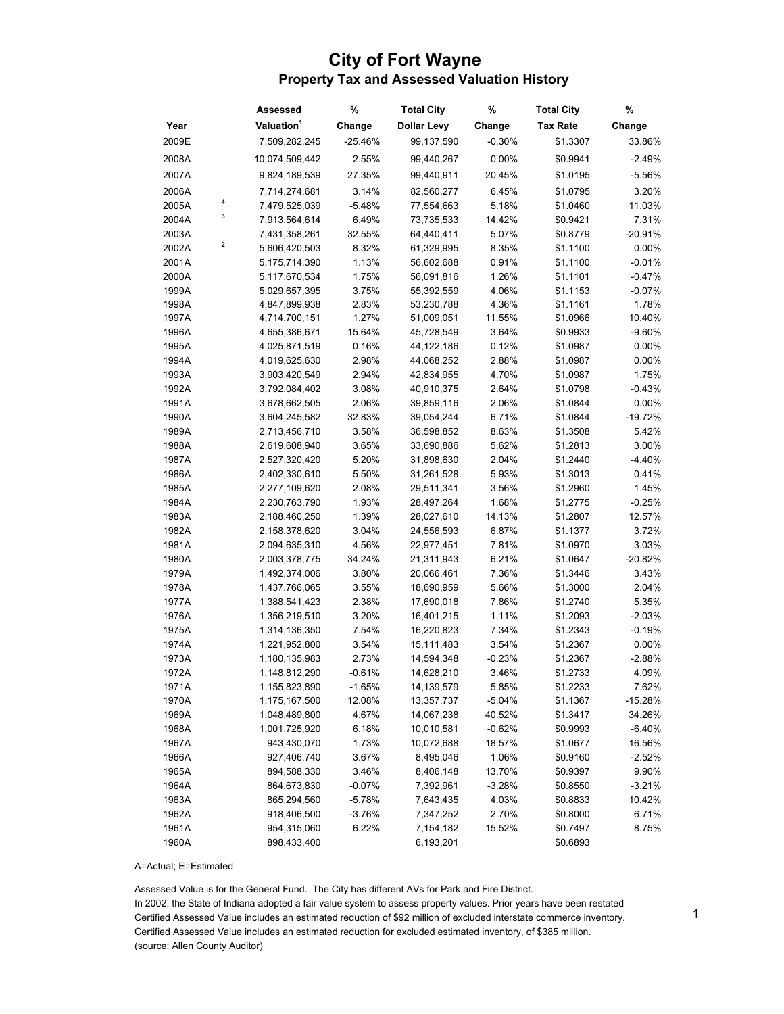## City of Fort Wayne Property Tax and Assessed Valuation History

|       |   | Assessed               | %         | <b>Total City</b>  | %        | <b>Total City</b> | %         |
|-------|---|------------------------|-----------|--------------------|----------|-------------------|-----------|
| Year  |   | Valuation <sup>1</sup> | Change    | <b>Dollar Levy</b> | Change   | <b>Tax Rate</b>   | Change    |
| 2009E |   | 7,509,282,245          | $-25.46%$ | 99,137,590         | $-0.30%$ | \$1.3307          | 33.86%    |
| 2008A |   | 10,074,509,442         | 2.55%     | 99,440,267         | 0.00%    | \$0.9941          | $-2.49%$  |
| 2007A |   | 9,824,189,539          | 27.35%    | 99,440,911         | 20.45%   | \$1.0195          | $-5.56%$  |
| 2006A |   | 7,714,274,681          | 3.14%     | 82,560,277         | 6.45%    | \$1.0795          | 3.20%     |
| 2005A | 4 | 7,479,525,039          | $-5.48%$  | 77,554,663         | 5.18%    | \$1.0460          | 11.03%    |
| 2004A | 3 | 7,913,564,614          | 6.49%     | 73,735,533         | 14.42%   | \$0.9421          | 7.31%     |
| 2003A |   | 7,431,358,261          | 32.55%    | 64,440,411         | 5.07%    | \$0.8779          | $-20.91%$ |
| 2002A | 2 | 5,606,420,503          | 8.32%     | 61,329,995         | 8.35%    | \$1.1100          | 0.00%     |
| 2001A |   | 5,175,714,390          | 1.13%     | 56,602,688         | 0.91%    | \$1.1100          | $-0.01%$  |
| 2000A |   | 5,117,670,534          | 1.75%     | 56,091,816         | 1.26%    | \$1.1101          | $-0.47%$  |
| 1999A |   | 5,029,657,395          | 3.75%     | 55,392,559         | 4.06%    | \$1.1153          | $-0.07%$  |
| 1998A |   | 4,847,899,938          | 2.83%     | 53,230,788         | 4.36%    | \$1.1161          | 1.78%     |
| 1997A |   | 4,714,700,151          | 1.27%     | 51,009,051         | 11.55%   | \$1.0966          | 10.40%    |
| 1996A |   | 4,655,386,671          | 15.64%    | 45,728,549         | 3.64%    | \$0.9933          | $-9.60%$  |
| 1995A |   | 4,025,871,519          | 0.16%     | 44, 122, 186       | 0.12%    | \$1.0987          | 0.00%     |
| 1994A |   | 4,019,625,630          | 2.98%     | 44,068,252         | 2.88%    | \$1.0987          | 0.00%     |
| 1993A |   | 3,903,420,549          | 2.94%     | 42,834,955         | 4.70%    | \$1.0987          | 1.75%     |
| 1992A |   | 3,792,084,402          | 3.08%     | 40,910,375         | 2.64%    | \$1.0798          | -0.43%    |
| 1991A |   | 3,678,662,505          | 2.06%     | 39,859,116         | 2.06%    | \$1.0844          | 0.00%     |
| 1990A |   | 3,604,245,582          | 32.83%    | 39,054,244         | 6.71%    | \$1.0844          | $-19.72%$ |
| 1989A |   | 2,713,456,710          | 3.58%     | 36,598,852         | 8.63%    | \$1.3508          | 5.42%     |
| 1988A |   | 2,619,608,940          | 3.65%     | 33,690,886         | 5.62%    | \$1.2813          | 3.00%     |
| 1987A |   | 2,527,320,420          | 5.20%     | 31,898,630         | 2.04%    | \$1.2440          | $-4.40%$  |
| 1986A |   | 2,402,330,610          | 5.50%     | 31,261,528         | 5.93%    | \$1.3013          | 0.41%     |
| 1985A |   | 2,277,109,620          | 2.08%     | 29,511,341         | 3.56%    | \$1.2960          | 1.45%     |
| 1984A |   | 2,230,763,790          | 1.93%     | 28,497,264         | 1.68%    | \$1.2775          | $-0.25%$  |
| 1983A |   | 2,188,460,250          | 1.39%     | 28,027,610         | 14.13%   | \$1.2807          | 12.57%    |
| 1982A |   | 2,158,378,620          | 3.04%     | 24,556,593         | 6.87%    | \$1.1377          | 3.72%     |
| 1981A |   | 2,094,635,310          | 4.56%     | 22,977,451         | 7.81%    | \$1.0970          | 3.03%     |
| 1980A |   | 2,003,378,775          | 34.24%    | 21,311,943         | 6.21%    | \$1.0647          | $-20.82%$ |
| 1979A |   | 1,492,374,006          | 3.80%     | 20,066,461         | 7.36%    | \$1.3446          | 3.43%     |
| 1978A |   | 1,437,766,065          | 3.55%     | 18,690,959         | 5.66%    | \$1.3000          | 2.04%     |
| 1977A |   | 1,388,541,423          | 2.38%     | 17,690,018         | 7.86%    | \$1.2740          | 5.35%     |
| 1976A |   | 1,356,219,510          | 3.20%     | 16,401,215         | 1.11%    | \$1.2093          | $-2.03%$  |
| 1975A |   | 1,314,136,350          | 7.54%     | 16,220,823         | 7.34%    | \$1.2343          | $-0.19%$  |
| 1974A |   | 1,221,952,800          | 3.54%     | 15,111,483         | 3.54%    | \$1.2367          | 0.00%     |
| 1973A |   | 1,180,135,983          | 2.73%     | 14,594,348         | $-0.23%$ | \$1.2367          | $-2.88%$  |
| 1972A |   | 1,148,812,290          | $-0.61%$  | 14,628,210         | 3.46%    | \$1.2733          | 4.09%     |
| 1971A |   | 1,155,823,890          | $-1.65%$  | 14,139,579         | 5.85%    | \$1.2233          | 7.62%     |
| 1970A |   | 1,175,167,500          | 12.08%    | 13,357,737         | $-5.04%$ | \$1.1367          | $-15.28%$ |
| 1969A |   | 1,048,489,800          | 4.67%     | 14,067,238         | 40.52%   | \$1.3417          | 34.26%    |
| 1968A |   | 1,001,725,920          | 6.18%     | 10,010,581         | $-0.62%$ | \$0.9993          | $-6.40%$  |
| 1967A |   | 943,430,070            | 1.73%     | 10,072,688         | 18.57%   | \$1.0677          | 16.56%    |
| 1966A |   | 927,406,740            | 3.67%     | 8,495,046          | 1.06%    | \$0.9160          | $-2.52%$  |
| 1965A |   | 894,588,330            | 3.46%     | 8,406,148          | 13.70%   | \$0.9397          | 9.90%     |
| 1964A |   | 864,673,830            | $-0.07%$  | 7,392,961          | $-3.28%$ | \$0.8550          | $-3.21%$  |
| 1963A |   | 865,294,560            | $-5.78%$  | 7,643,435          | 4.03%    | \$0.8833          | 10.42%    |
| 1962A |   | 918,406,500            | $-3.76%$  | 7,347,252          | 2.70%    | \$0.8000          | 6.71%     |
| 1961A |   | 954,315,060            | 6.22%     | 7,154,182          | 15.52%   | \$0.7497          | 8.75%     |
| 1960A |   | 898,433,400            |           | 6,193,201          |          | \$0.6893          |           |

A=Actual; E=Estimated

Assessed Value is for the General Fund. The City has different AVs for Park and Fire District.

In 2002, the State of Indiana adopted a fair value system to assess property values. Prior years have been restated Certified Assessed Value includes an estimated reduction of \$92 million of excluded interstate commerce inventory. Certified Assessed Value includes an estimated reduction for excluded estimated inventory, of \$385 million. (source: Allen County Auditor)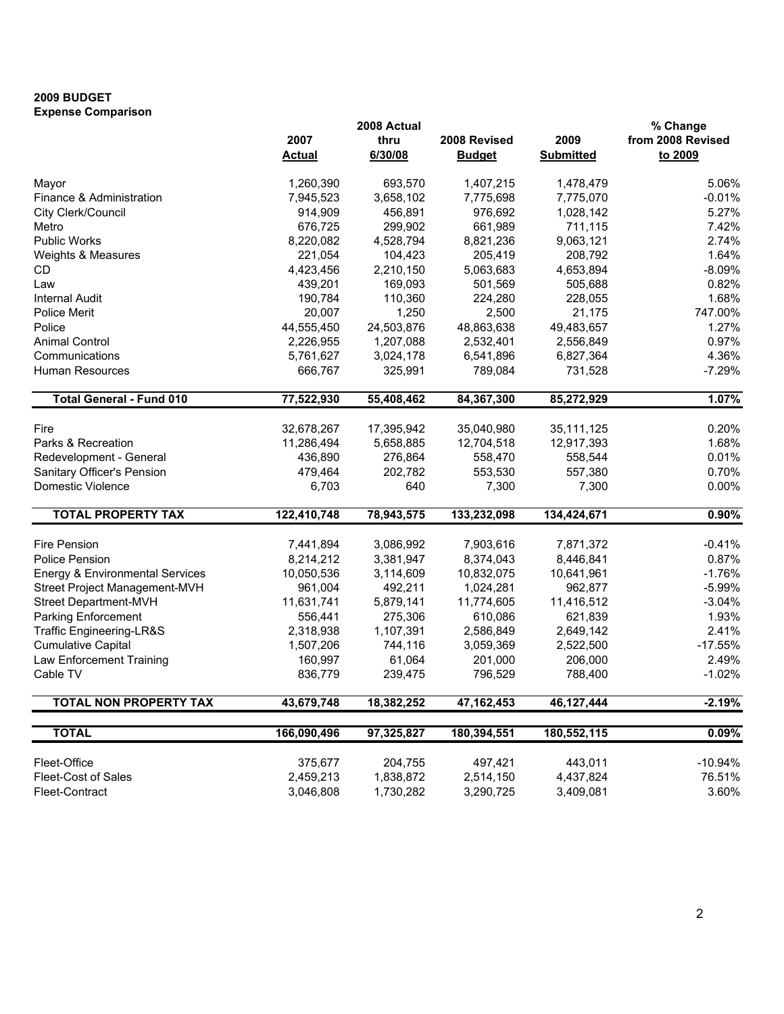## 2009 BUDGET Expense Comparison

|                                            |               | 2008 Actual |               |                  | % Change          |
|--------------------------------------------|---------------|-------------|---------------|------------------|-------------------|
|                                            | 2007          | thru        | 2008 Revised  | 2009             | from 2008 Revised |
|                                            | <b>Actual</b> | 6/30/08     | <b>Budget</b> | <b>Submitted</b> | to 2009           |
| Mayor                                      | 1,260,390     | 693,570     | 1,407,215     | 1,478,479        | 5.06%             |
| Finance & Administration                   | 7,945,523     | 3,658,102   | 7,775,698     | 7,775,070        | $-0.01%$          |
| City Clerk/Council                         | 914,909       | 456,891     | 976,692       | 1,028,142        | 5.27%             |
| Metro                                      | 676,725       | 299,902     | 661,989       | 711,115          | 7.42%             |
| <b>Public Works</b>                        | 8,220,082     | 4,528,794   | 8,821,236     | 9,063,121        | 2.74%             |
| Weights & Measures                         | 221,054       | 104,423     | 205,419       | 208,792          | 1.64%             |
| <b>CD</b>                                  | 4,423,456     | 2,210,150   | 5,063,683     | 4,653,894        | $-8.09%$          |
| Law                                        | 439,201       | 169,093     | 501,569       | 505,688          | 0.82%             |
| <b>Internal Audit</b>                      | 190,784       | 110,360     | 224,280       | 228,055          | 1.68%             |
| Police Merit                               | 20,007        | 1,250       | 2,500         | 21,175           | 747.00%           |
| Police                                     | 44,555,450    | 24,503,876  | 48,863,638    | 49,483,657       | 1.27%             |
| <b>Animal Control</b>                      | 2,226,955     | 1,207,088   | 2,532,401     | 2,556,849        | 0.97%             |
| Communications                             | 5,761,627     | 3,024,178   | 6,541,896     | 6,827,364        | 4.36%             |
| Human Resources                            | 666,767       | 325,991     | 789,084       | 731,528          | $-7.29%$          |
| <b>Total General - Fund 010</b>            | 77,522,930    | 55,408,462  | 84,367,300    | 85,272,929       | 1.07%             |
|                                            |               |             |               |                  |                   |
| Fire                                       | 32,678,267    | 17,395,942  | 35,040,980    | 35, 111, 125     | 0.20%             |
| Parks & Recreation                         | 11,286,494    | 5,658,885   | 12,704,518    | 12,917,393       | 1.68%             |
| Redevelopment - General                    | 436,890       | 276,864     | 558,470       | 558,544          | 0.01%             |
| Sanitary Officer's Pension                 | 479,464       | 202,782     | 553,530       | 557,380          | 0.70%             |
| Domestic Violence                          | 6,703         | 640         | 7,300         | 7,300            | 0.00%             |
| <b>TOTAL PROPERTY TAX</b>                  | 122,410,748   | 78,943,575  | 133,232,098   | 134,424,671      | 0.90%             |
| <b>Fire Pension</b>                        | 7,441,894     | 3,086,992   | 7,903,616     | 7,871,372        | $-0.41%$          |
| Police Pension                             | 8,214,212     | 3,381,947   | 8,374,043     | 8,446,841        | 0.87%             |
| <b>Energy &amp; Environmental Services</b> | 10,050,536    | 3,114,609   | 10,832,075    | 10,641,961       | $-1.76%$          |
| Street Project Management-MVH              | 961,004       | 492,211     | 1,024,281     | 962,877          | $-5.99%$          |
| Street Department-MVH                      | 11,631,741    | 5,879,141   | 11,774,605    | 11,416,512       | $-3.04%$          |
| Parking Enforcement                        | 556,441       | 275,306     | 610,086       | 621,839          | 1.93%             |
| Traffic Engineering-LR&S                   | 2,318,938     | 1,107,391   | 2,586,849     | 2,649,142        | 2.41%             |
| <b>Cumulative Capital</b>                  | 1,507,206     | 744,116     | 3,059,369     | 2,522,500        | $-17.55%$         |
| Law Enforcement Training                   | 160,997       | 61,064      | 201,000       | 206,000          | 2.49%             |
| Cable TV                                   | 836,779       | 239,475     | 796,529       | 788,400          | $-1.02%$          |
| <b>TOTAL NON PROPERTY TAX</b>              | 43,679,748    | 18,382,252  | 47, 162, 453  | 46,127,444       | $-2.19%$          |
|                                            |               |             |               |                  |                   |
| <b>TOTAL</b>                               | 166,090,496   | 97,325,827  | 180,394,551   | 180,552,115      | 0.09%             |
| Fleet-Office                               | 375,677       | 204,755     | 497,421       | 443,011          | $-10.94%$         |
| <b>Fleet-Cost of Sales</b>                 | 2,459,213     | 1,838,872   | 2,514,150     | 4,437,824        | 76.51%            |
| Fleet-Contract                             | 3,046,808     | 1,730,282   | 3,290,725     | 3,409,081        | 3.60%             |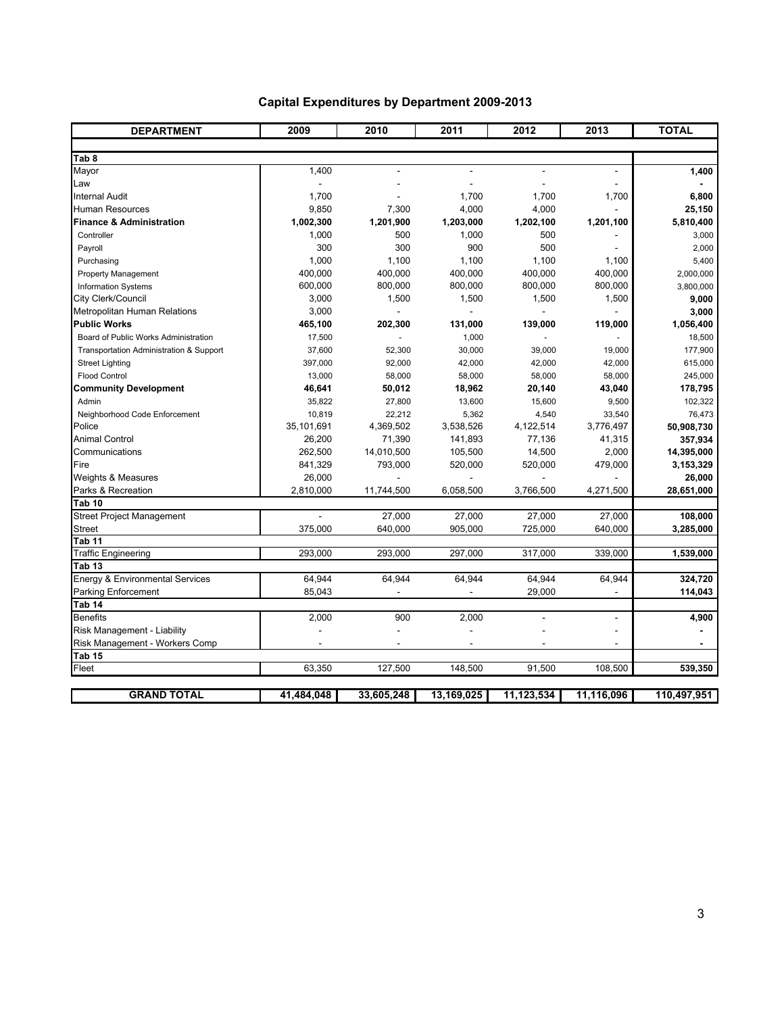| <b>DEPARTMENT</b>                          | 2009       | 2010       | 2011       | 2012                     | 2013       | <b>TOTAL</b> |
|--------------------------------------------|------------|------------|------------|--------------------------|------------|--------------|
|                                            |            |            |            |                          |            |              |
| Tab 8<br>Mayor                             | 1,400      | ٠          | $\sim$     | $\overline{\phantom{a}}$ | ÷.         | 1,400        |
| Law                                        |            |            |            |                          |            |              |
| Internal Audit                             | 1,700      |            | 1,700      | 1,700                    | 1,700      | 6,800        |
| Human Resources                            | 9,850      | 7,300      | 4,000      | 4,000                    |            | 25,150       |
| Finance & Administration                   | 1,002,300  | 1,201,900  | 1,203,000  | 1,202,100                | 1,201,100  | 5,810,400    |
| Controller                                 | 1,000      | 500        | 1,000      | 500                      |            | 3,000        |
| Payroll                                    | 300        | 300        | 900        | 500                      |            | 2,000        |
| Purchasing                                 | 1,000      | 1,100      | 1,100      | 1,100                    | 1,100      | 5,400        |
| <b>Property Management</b>                 | 400,000    | 400,000    | 400,000    | 400,000                  | 400,000    | 2,000,000    |
| <b>Information Systems</b>                 | 600,000    | 800,000    | 800,000    | 800,000                  | 800,000    | 3,800,000    |
| City Clerk/Council                         | 3,000      | 1,500      | 1,500      | 1,500                    | 1,500      | 9,000        |
| Metropolitan Human Relations               | 3,000      |            |            |                          |            | 3,000        |
| <b>Public Works</b>                        | 465,100    | 202,300    | 131,000    | 139,000                  | 119,000    | 1,056,400    |
| Board of Public Works Administration       | 17,500     |            | 1,000      |                          |            | 18,500       |
| Transportation Administration & Support    | 37,600     | 52,300     | 30,000     | 39,000                   | 19,000     | 177,900      |
| <b>Street Lighting</b>                     | 397,000    | 92,000     | 42,000     | 42,000                   | 42,000     | 615,000      |
| <b>Flood Control</b>                       | 13,000     | 58,000     | 58,000     | 58,000                   | 58,000     | 245,000      |
| <b>Community Development</b>               | 46,641     | 50,012     | 18,962     | 20,140                   | 43,040     | 178,795      |
| Admin                                      | 35,822     | 27,800     | 13,600     | 15,600                   | 9,500      | 102,322      |
| Neighborhood Code Enforcement              | 10,819     | 22,212     | 5,362      | 4,540                    | 33,540     | 76,473       |
| Police                                     | 35,101,691 | 4,369,502  | 3,538,526  | 4,122,514                | 3,776,497  | 50,908,730   |
| <b>Animal Control</b>                      | 26,200     | 71,390     | 141,893    | 77,136                   | 41,315     | 357,934      |
| Communications                             | 262,500    | 14,010,500 | 105,500    | 14,500                   | 2,000      | 14,395,000   |
| Fire                                       | 841,329    | 793,000    | 520,000    | 520,000                  | 479,000    | 3,153,329    |
| Weights & Measures                         | 26,000     |            |            |                          |            | 26,000       |
| Parks & Recreation                         | 2,810,000  | 11,744,500 | 6,058,500  | 3,766,500                | 4,271,500  | 28,651,000   |
| Tab 10                                     |            |            |            |                          |            |              |
| <b>Street Project Management</b>           | ÷          | 27,000     | 27,000     | 27,000                   | 27,000     | 108,000      |
| <b>Street</b>                              | 375,000    | 640,000    | 905,000    | 725,000                  | 640,000    | 3,285,000    |
| Tab 11                                     |            |            |            |                          |            |              |
| <b>Traffic Engineering</b>                 | 293,000    | 293,000    | 297,000    | 317,000                  | 339,000    | 1,539,000    |
| Tab 13                                     |            |            |            |                          |            |              |
| <b>Energy &amp; Environmental Services</b> | 64.944     | 64.944     | 64.944     | 64,944                   | 64.944     | 324,720      |
| Parking Enforcement                        | 85,043     |            |            | 29,000                   |            | 114,043      |
| Tab 14                                     |            |            |            |                          |            |              |
| <b>Benefits</b>                            | 2,000      | 900        | 2,000      | ä,                       | ÷          | 4,900        |
| Risk Management - Liability                |            |            |            |                          |            |              |
| Risk Management - Workers Comp             |            |            |            |                          |            |              |
| Tab <sub>15</sub>                          |            |            |            |                          |            |              |
| Fleet                                      | 63,350     | 127,500    | 148,500    | 91,500                   | 108,500    | 539,350      |
| <b>GRAND TOTAL</b>                         | 41,484,048 | 33,605,248 | 13,169,025 | 11,123,534               | 11,116,096 | 110,497,951  |